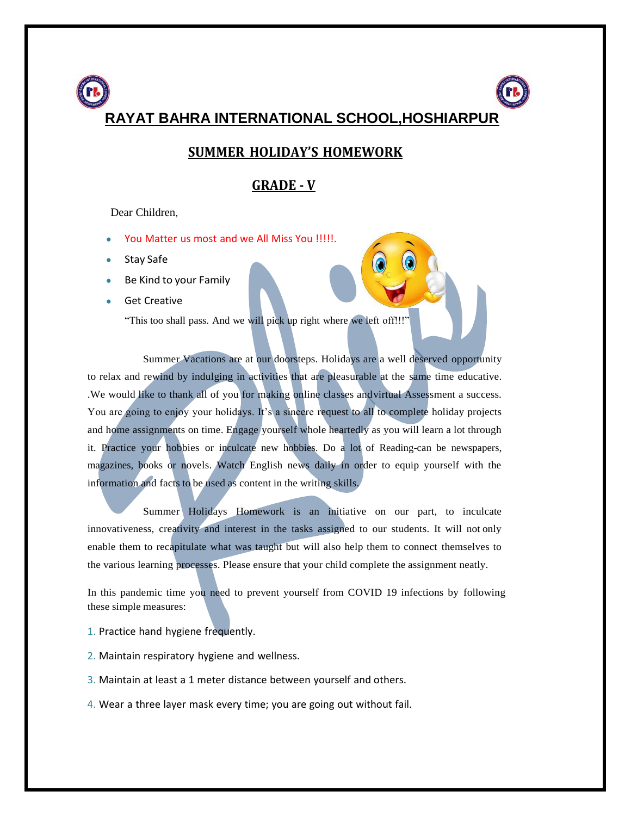

#### **SUMMER HOLIDAY'S HOMEWORK**

#### **GRADE - V**

Dear Children,

- You Matter us most and we All Miss You !!!!!.
- Stay Safe
- Be Kind to your Family
- **Get Creative**

"This too shall pass. And we will pick up right where we left off!!!"

Summer Vacations are at our doorsteps. Holidays are a well deserved opportunity to relax and rewind by indulging in activities that are pleasurable at the same time educative. .We would like to thank all of you for making online classes andvirtual Assessment a success. You are going to enjoy your holidays. It's a sincere request to all to complete holiday projects and home assignments on time. Engage yourself whole heartedly as you will learn a lot through it. Practice your hobbies or inculcate new hobbies. Do a lot of Reading-can be newspapers, magazines, books or novels. Watch English news daily in order to equip yourself with the information and facts to be used as content in the writing skills.

Summer Holidays Homework is an initiative on our part, to inculcate innovativeness, creativity and interest in the tasks assigned to our students. It will not only enable them to recapitulate what was taught but will also help them to connect themselves to the various learning processes. Please ensure that your child complete the assignment neatly.

In this pandemic time you need to prevent yourself from COVID 19 infections by following these simple measures:

- 1. Practice hand hygiene frequently.
- 2. Maintain respiratory hygiene and wellness.
- 3. Maintain at least a 1 meter distance between yourself and others.
- 4. Wear a three layer mask every time; you are going out without fail.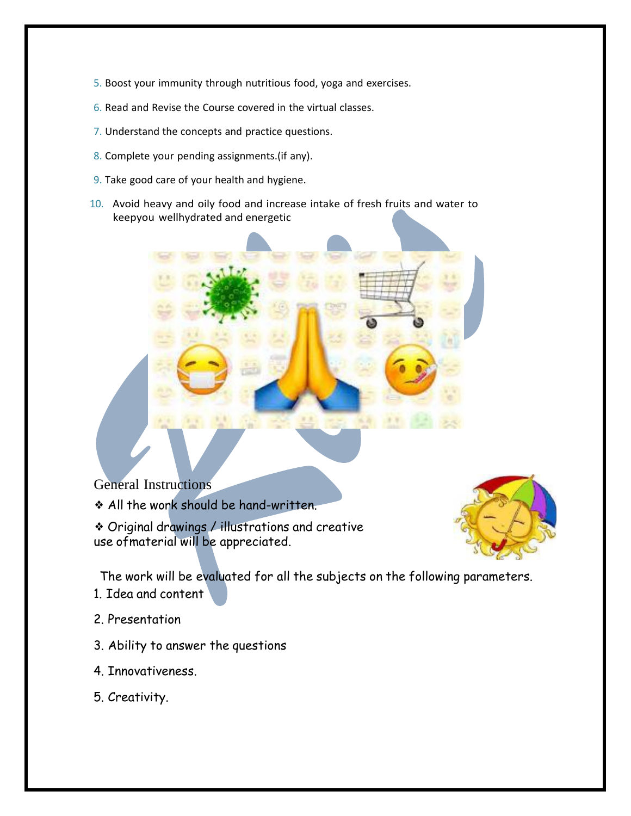- 5. Boost your immunity through nutritious food, yoga and exercises.
- 6. Read and Revise the Course covered in the virtual classes.
- 7. Understand the concepts and practice questions.
- 8. Complete your pending assignments.(if any).
- 9. Take good care of your health and hygiene.
- 10. Avoid heavy and oily food and increase intake of fresh fruits and water to keepyou wellhydrated and energetic

General Instructions

❖ All the work should be hand-written.

❖ Original drawings / illustrations and creative use ofmaterial will be appreciated.



The work will be evaluated for all the subjects on the following parameters.

- 1. Idea and content
- 2. Presentation
- 3. Ability to answer the questions
- 4. Innovativeness.
- 5. Creativity.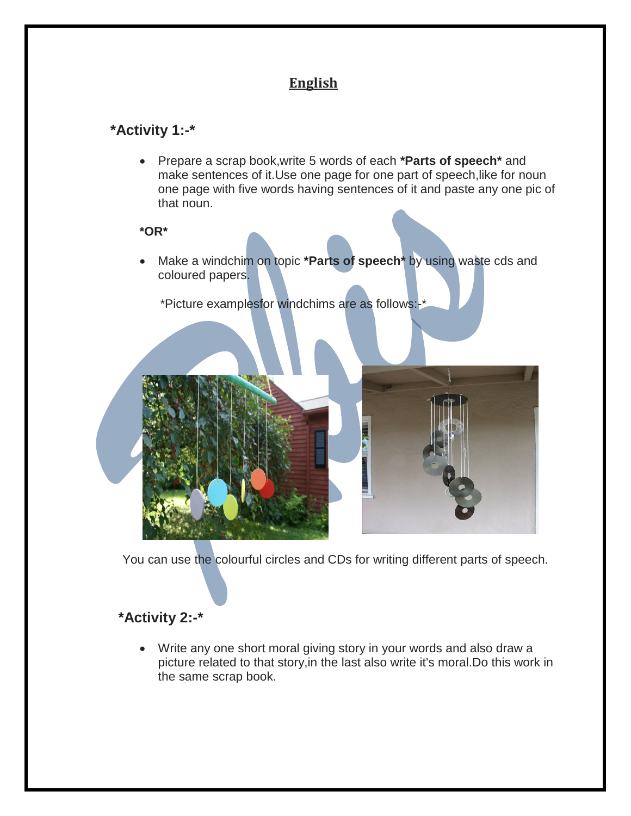# **English**

# **\*Activity 1:-\***

 Prepare a scrap book,write 5 words of each **\*Parts of speech\*** and make sentences of it.Use one page for one part of speech,like for noun one page with five words having sentences of it and paste any one pic of that noun.

#### **\*OR\***

 Make a windchim on topic **\*Parts of speech\*** by using waste cds and coloured papers.

\*Picture examplesfor windchims are as follows:-\*



You can use the colourful circles and CDs for writing different parts of speech.

# **\*Activity 2:-\***

 Write any one short moral giving story in your words and also draw a picture related to that story,in the last also write it's moral.Do this work in the same scrap book.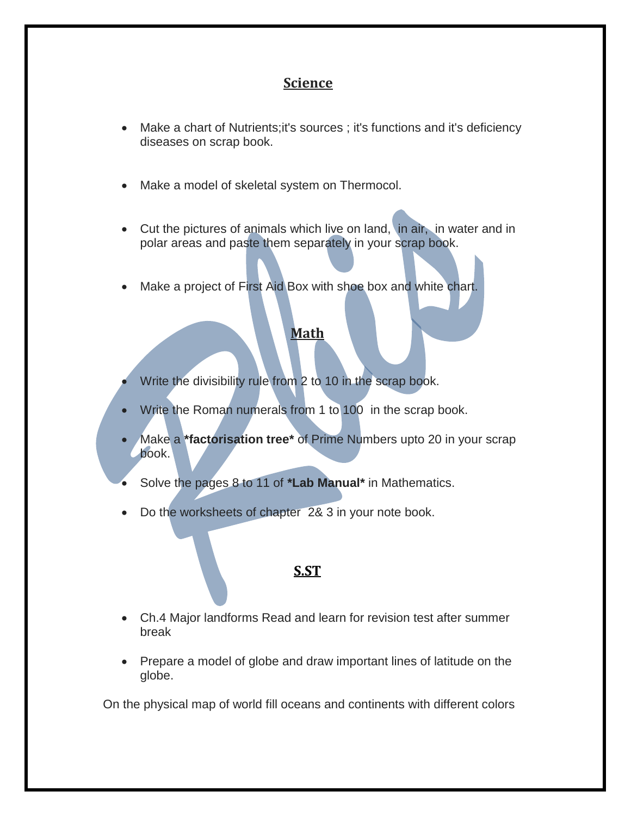## **Science**

- Make a chart of Nutrients;it's sources ; it's functions and it's deficiency diseases on scrap book.
- Make a model of skeletal system on Thermocol.
- Cut the pictures of animals which live on land, in air, in water and in polar areas and paste them separately in your scrap book.
- Make a project of First Aid Box with shoe box and white chart.

#### **Math**

- Write the divisibility rule from 2 to 10 in the scrap book.
- Write the Roman numerals from 1 to 100 in the scrap book.
- Make a **\*factorisation tree\*** of Prime Numbers upto 20 in your scrap book.
- Solve the pages 8 to 11 of **\*Lab Manual\*** in Mathematics.
- Do the worksheets of chapter 2& 3 in your note book.

## **[S.ST](http://s.st/)**

- Ch.4 Major landforms Read and learn for revision test after summer break
- Prepare a model of globe and draw important lines of latitude on the globe.

On the physical map of world fill oceans and continents with different colors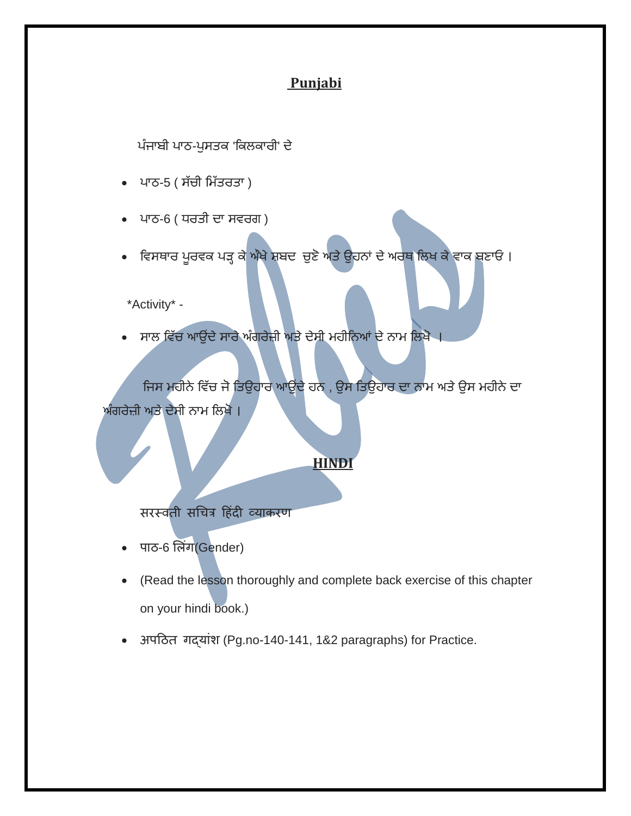## **Punjabi**

ਪੰਜਾਬੀ ਪਾਠ-ਪੁਸਤਕ 'ਕਿਲਕਾਰੀ' ਦੇ

- ਪਾਠ-5 ( ਸੱਚੀ ਮਿੱਤਰਤਾ )
- ਾਠ-6 ( ਧਰਤੀ ਦਾ ਸਵਰਗ )
- ਵਿਸਥਾਰ ਪੂਰਵਕ ਪੜ੍ਹ ਕ<mark>ੇ ਔਖੇ ਸ਼ਬਦ ਚੁਣੋ ਅਤੇ ਉ</mark>ਹਨਾਂ ਦੇ ਅਰਥ ਲਿਖ ਕੇ ਵਾਕ ਬਣਾਓ ।

\*Activity\* -

ਸਾਲ ਵਿੱਚ ਆਉਂਦੇ ਸਾਰੇ ਅੰਗਰੇਜ਼ੀ ਅਤੇ ਦੇਸੀ ਮਹੀਨਿਆਂ ਦੇ ਨਾਮ ਲਿਖੋ ।

ਜਿਸ ਮਹੀਨੇ ਵਿੱਚ ਜੋ ਤਿਉਹਾਰ ਆਉਂਦੇ ਹਨ , ਉਸ ਤਿਉਹਾਰ ਦਾ ਨਾਮ ਅਤੇ ਉਸ ਮਹੀਨੇ ਦਾ ਅੰਗਰੇਜ਼ੀ ਅਤੇ ਦੇਸੀ ਨਾਮ ਲਿਖੋ ।

#### **HINDI**

सरस्वती सचित्र हिंदी व्याकरण

- पाठ-6 लिंग(Gender)
- (Read the lesson thoroughly and complete back exercise of this chapter on your hindi book.)
- अपठित गदयांश (Pg.no-140-141, 1&2 paragraphs) for Practice.